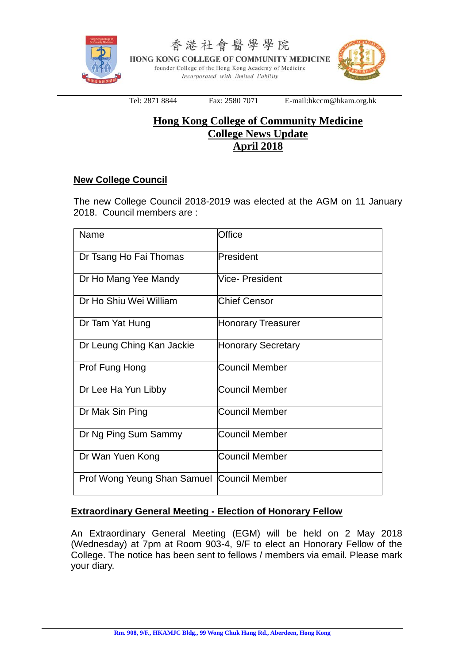

香港社會醫學學院 HONG KONG COLLEGE OF COMMUNITY MEDICINE founder College of the Hong Kong Academy of Medicine Incorporated with limited liability



Tel: 2871 8844 Fax: 2580 7071 E-mail:hkccm@hkam.org.hk

# **Hong Kong College of Community Medicine College News Update April 2018**

## **New College Council**

The new College Council 2018-2019 was elected at the AGM on 11 January 2018. Council members are :

| Name                                         | Office                    |
|----------------------------------------------|---------------------------|
| Dr Tsang Ho Fai Thomas                       | President                 |
| Dr Ho Mang Yee Mandy                         | Vice- President           |
| Dr Ho Shiu Wei William                       | <b>Chief Censor</b>       |
| Dr Tam Yat Hung                              | <b>Honorary Treasurer</b> |
| Dr Leung Ching Kan Jackie                    | <b>Honorary Secretary</b> |
| Prof Fung Hong                               | <b>Council Member</b>     |
| Dr Lee Ha Yun Libby                          | <b>Council Member</b>     |
| Dr Mak Sin Ping                              | Council Member            |
| Dr Ng Ping Sum Sammy                         | <b>Council Member</b>     |
| Dr Wan Yuen Kong                             | <b>Council Member</b>     |
| Prof Wong Yeung Shan Samuel   Council Member |                           |

## **Extraordinary General Meeting - Election of Honorary Fellow**

An Extraordinary General Meeting (EGM) will be held on 2 May 2018 (Wednesday) at 7pm at Room 903-4, 9/F to elect an Honorary Fellow of the College. The notice has been sent to fellows / members via email. Please mark your diary.